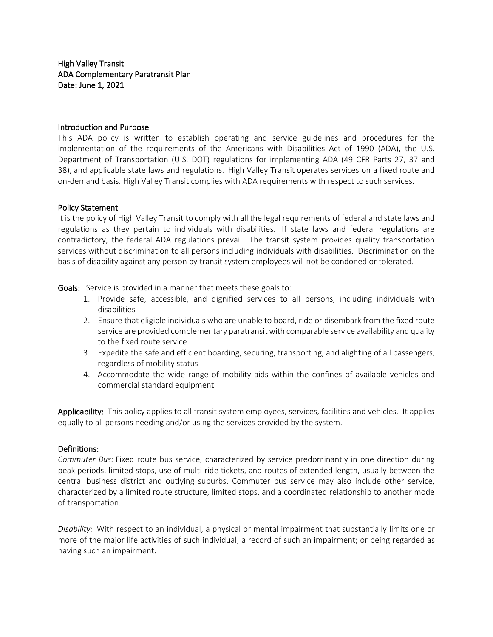High Valley Transit ADA Complementary Paratransit Plan Date: June 1, 2021

## Introduction and Purpose

This ADA policy is written to establish operating and service guidelines and procedures for the implementation of the requirements of the Americans with Disabilities Act of 1990 (ADA), the U.S. Department of Transportation (U.S. DOT) regulations for implementing ADA (49 CFR Parts 27, 37 and 38), and applicable state laws and regulations. High Valley Transit operates services on a fixed route and on-demand basis. High Valley Transit complies with ADA requirements with respect to such services.

## Policy Statement

It is the policy of High Valley Transit to comply with all the legal requirements of federal and state laws and regulations as they pertain to individuals with disabilities. If state laws and federal regulations are contradictory, the federal ADA regulations prevail. The transit system provides quality transportation services without discrimination to all persons including individuals with disabilities. Discrimination on the basis of disability against any person by transit system employees will not be condoned or tolerated.

Goals: Service is provided in a manner that meets these goals to:

- 1. Provide safe, accessible, and dignified services to all persons, including individuals with disabilities
- 2. Ensure that eligible individuals who are unable to board, ride or disembark from the fixed route service are provided complementary paratransit with comparable service availability and quality to the fixed route service
- 3. Expedite the safe and efficient boarding, securing, transporting, and alighting of all passengers, regardless of mobility status
- 4. Accommodate the wide range of mobility aids within the confines of available vehicles and commercial standard equipment

Applicability: This policy applies to all transit system employees, services, facilities and vehicles. It applies equally to all persons needing and/or using the services provided by the system.

#### Definitions:

*Commuter Bus:* Fixed route bus service, characterized by service predominantly in one direction during peak periods, limited stops, use of multi-ride tickets, and routes of extended length, usually between the central business district and outlying suburbs. Commuter bus service may also include other service, characterized by a limited route structure, limited stops, and a coordinated relationship to another mode of transportation.

*Disability:* With respect to an individual, a physical or mental impairment that substantially limits one or more of the major life activities of such individual; a record of such an impairment; or being regarded as having such an impairment.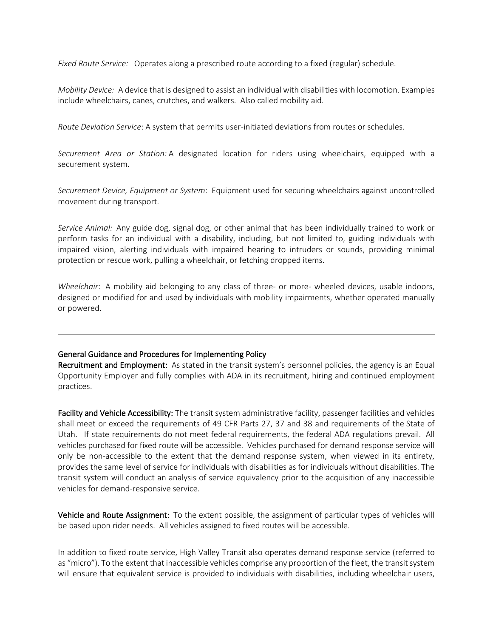*Fixed Route Service:* Operates along a prescribed route according to a fixed (regular) schedule.

*Mobility Device:* A device that is designed to assist an individual with disabilities with locomotion. Examples include wheelchairs, canes, crutches, and walkers. Also called mobility aid.

*Route Deviation Service*: A system that permits user-initiated deviations from routes or schedules.

*Securement Area or Station:* A designated location for riders using wheelchairs, equipped with a securement system.

*Securement Device, Equipment or System*: Equipment used for securing wheelchairs against uncontrolled movement during transport.

*Service Animal:* Any guide dog, signal dog, or other animal that has been individually trained to work or perform tasks for an individual with a disability, including, but not limited to, guiding individuals with impaired vision, alerting individuals with impaired hearing to intruders or sounds, providing minimal protection or rescue work, pulling a wheelchair, or fetching dropped items.

*Wheelchair*: A mobility aid belonging to any class of three- or more- wheeled devices, usable indoors, designed or modified for and used by individuals with mobility impairments, whether operated manually or powered.

# General Guidance and Procedures for Implementing Policy

Recruitment and Employment: As stated in the transit system's personnel policies, the agency is an Equal Opportunity Employer and fully complies with ADA in its recruitment, hiring and continued employment practices.

Facility and Vehicle Accessibility: The transit system administrative facility, passenger facilities and vehicles shall meet or exceed the requirements of 49 CFR Parts 27, 37 and 38 and requirements of the State of Utah. If state requirements do not meet federal requirements, the federal ADA regulations prevail. All vehicles purchased for fixed route will be accessible. Vehicles purchased for demand response service will only be non-accessible to the extent that the demand response system, when viewed in its entirety, provides the same level of service for individuals with disabilities as for individuals without disabilities. The transit system will conduct an analysis of service equivalency prior to the acquisition of any inaccessible vehicles for demand-responsive service.

Vehicle and Route Assignment: To the extent possible, the assignment of particular types of vehicles will be based upon rider needs. All vehicles assigned to fixed routes will be accessible.

In addition to fixed route service, High Valley Transit also operates demand response service (referred to as "micro"). To the extent that inaccessible vehicles comprise any proportion of the fleet, the transit system will ensure that equivalent service is provided to individuals with disabilities, including wheelchair users,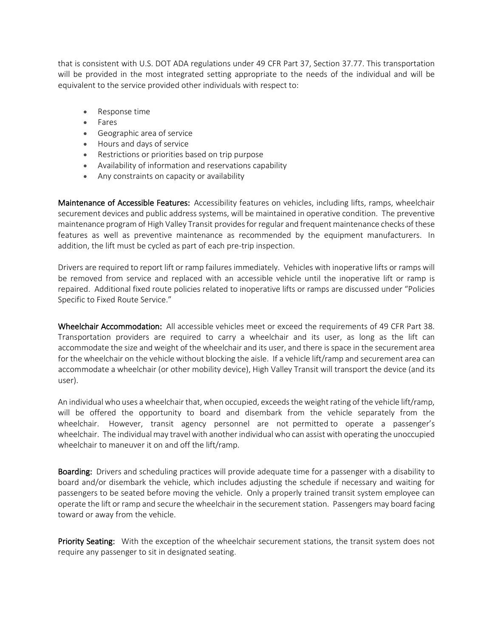that is consistent with U.S. DOT ADA regulations under 49 CFR Part 37, Section 37.77. This transportation will be provided in the most integrated setting appropriate to the needs of the individual and will be equivalent to the service provided other individuals with respect to:

- Response time
- Fares
- Geographic area of service
- Hours and days of service
- Restrictions or priorities based on trip purpose
- Availability of information and reservations capability
- Any constraints on capacity or availability

Maintenance of Accessible Features: Accessibility features on vehicles, including lifts, ramps, wheelchair securement devices and public address systems, will be maintained in operative condition. The preventive maintenance program of High Valley Transit providesfor regular and frequent maintenance checks of these features as well as preventive maintenance as recommended by the equipment manufacturers. In addition, the lift must be cycled as part of each pre-trip inspection.

Drivers are required to report lift or ramp failures immediately. Vehicles with inoperative lifts or ramps will be removed from service and replaced with an accessible vehicle until the inoperative lift or ramp is repaired. Additional fixed route policies related to inoperative lifts or ramps are discussed under "Policies Specific to Fixed Route Service."

Wheelchair Accommodation: All accessible vehicles meet or exceed the requirements of 49 CFR Part 38. Transportation providers are required to carry a wheelchair and its user, as long as the lift can accommodate the size and weight of the wheelchair and its user, and there is space in the securement area for the wheelchair on the vehicle without blocking the aisle. If a vehicle lift/ramp and securement area can accommodate a wheelchair (or other mobility device), High Valley Transit will transport the device (and its user).

An individual who uses a wheelchair that, when occupied, exceeds the weight rating of the vehicle lift/ramp, will be offered the opportunity to board and disembark from the vehicle separately from the wheelchair. However, transit agency personnel are not permitted to operate a passenger's wheelchair. The individual may travel with another individual who can assist with operating the unoccupied wheelchair to maneuver it on and off the lift/ramp.

Boarding: Drivers and scheduling practices will provide adequate time for a passenger with a disability to board and/or disembark the vehicle, which includes adjusting the schedule if necessary and waiting for passengers to be seated before moving the vehicle. Only a properly trained transit system employee can operate the lift or ramp and secure the wheelchair in the securement station. Passengers may board facing toward or away from the vehicle.

**Priority Seating:** With the exception of the wheelchair securement stations, the transit system does not require any passenger to sit in designated seating.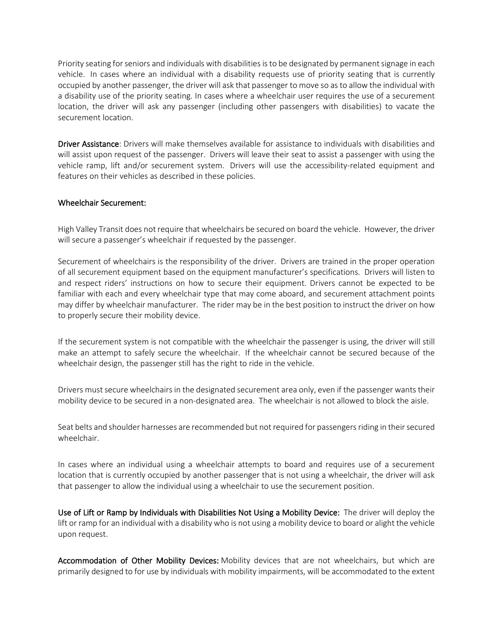Priority seating for seniors and individuals with disabilities is to be designated by permanent signage in each vehicle. In cases where an individual with a disability requests use of priority seating that is currently occupied by another passenger, the driver will ask that passenger to move so as to allow the individual with a disability use of the priority seating. In cases where a wheelchair user requires the use of a securement location, the driver will ask any passenger (including other passengers with disabilities) to vacate the securement location.

Driver Assistance: Drivers will make themselves available for assistance to individuals with disabilities and will assist upon request of the passenger. Drivers will leave their seat to assist a passenger with using the vehicle ramp, lift and/or securement system. Drivers will use the accessibility-related equipment and features on their vehicles as described in these policies.

## Wheelchair Securement:

High Valley Transit does not require that wheelchairs be secured on board the vehicle. However, the driver will secure a passenger's wheelchair if requested by the passenger.

Securement of wheelchairs is the responsibility of the driver. Drivers are trained in the proper operation of all securement equipment based on the equipment manufacturer's specifications. Drivers will listen to and respect riders' instructions on how to secure their equipment. Drivers cannot be expected to be familiar with each and every wheelchair type that may come aboard, and securement attachment points may differ by wheelchair manufacturer. The rider may be in the best position to instruct the driver on how to properly secure their mobility device.

If the securement system is not compatible with the wheelchair the passenger is using, the driver will still make an attempt to safely secure the wheelchair. If the wheelchair cannot be secured because of the wheelchair design, the passenger still has the right to ride in the vehicle.

Drivers must secure wheelchairs in the designated securement area only, even if the passenger wants their mobility device to be secured in a non-designated area. The wheelchair is not allowed to block the aisle.

Seat belts and shoulder harnesses are recommended but not required for passengers riding in their secured wheelchair.

In cases where an individual using a wheelchair attempts to board and requires use of a securement location that is currently occupied by another passenger that is not using a wheelchair, the driver will ask that passenger to allow the individual using a wheelchair to use the securement position.

Use of Lift or Ramp by Individuals with Disabilities Not Using a Mobility Device: The driver will deploy the lift or ramp for an individual with a disability who is not using a mobility device to board or alight the vehicle upon request.

Accommodation of Other Mobility Devices: Mobility devices that are not wheelchairs, but which are primarily designed to for use by individuals with mobility impairments, will be accommodated to the extent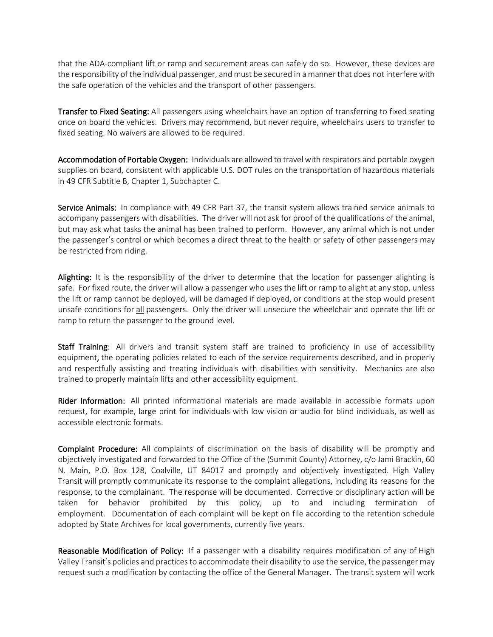that the ADA-compliant lift or ramp and securement areas can safely do so. However, these devices are the responsibility of the individual passenger, and must be secured in a manner that does not interfere with the safe operation of the vehicles and the transport of other passengers.

Transfer to Fixed Seating: All passengers using wheelchairs have an option of transferring to fixed seating once on board the vehicles. Drivers may recommend, but never require, wheelchairs users to transfer to fixed seating. No waivers are allowed to be required.

Accommodation of Portable Oxygen: Individuals are allowed to travel with respirators and portable oxygen supplies on board, consistent with applicable U.S. DOT rules on the transportation of hazardous materials in 49 CFR Subtitle B, Chapter 1, Subchapter C.

Service Animals: In compliance with 49 CFR Part 37, the transit system allows trained service animals to accompany passengers with disabilities. The driver will not ask for proof of the qualifications of the animal, but may ask what tasks the animal has been trained to perform. However, any animal which is not under the passenger's control or which becomes a direct threat to the health or safety of other passengers may be restricted from riding.

Alighting: It is the responsibility of the driver to determine that the location for passenger alighting is safe. For fixed route, the driver will allow a passenger who uses the lift or ramp to alight at any stop, unless the lift or ramp cannot be deployed, will be damaged if deployed, or conditions at the stop would present unsafe conditions for all passengers. Only the driver will unsecure the wheelchair and operate the lift or ramp to return the passenger to the ground level.

Staff Training: All drivers and transit system staff are trained to proficiency in use of accessibility equipment, the operating policies related to each of the service requirements described, and in properly and respectfully assisting and treating individuals with disabilities with sensitivity. Mechanics are also trained to properly maintain lifts and other accessibility equipment.

Rider Information: All printed informational materials are made available in accessible formats upon request, for example, large print for individuals with low vision or audio for blind individuals, as well as accessible electronic formats.

Complaint Procedure: All complaints of discrimination on the basis of disability will be promptly and objectively investigated and forwarded to the Office of the (Summit County) Attorney, c/o Jami Brackin, 60 N. Main, P.O. Box 128, Coalville, UT 84017 and promptly and objectively investigated. High Valley Transit will promptly communicate its response to the complaint allegations, including its reasons for the response, to the complainant. The response will be documented. Corrective or disciplinary action will be taken for behavior prohibited by this policy, up to and including termination of employment. Documentation of each complaint will be kept on file according to the retention schedule adopted by State Archives for local governments, currently five years.

Reasonable Modification of Policy: If a passenger with a disability requires modification of any of High Valley Transit's policies and practices to accommodate their disability to use the service, the passenger may request such a modification by contacting the office of the General Manager. The transit system will work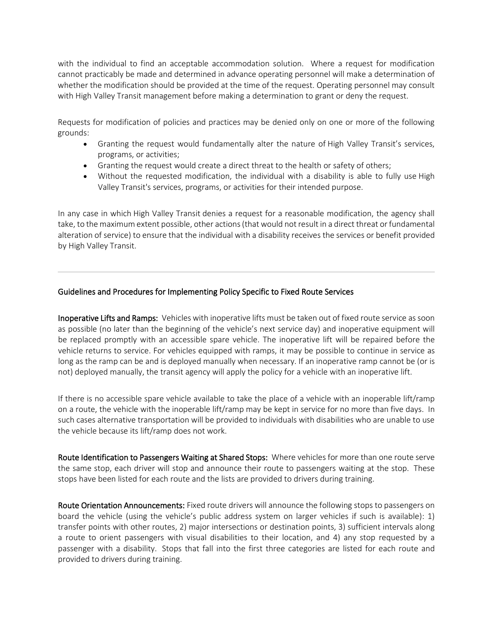with the individual to find an acceptable accommodation solution. Where a request for modification cannot practicably be made and determined in advance operating personnel will make a determination of whether the modification should be provided at the time of the request. Operating personnel may consult with High Valley Transit management before making a determination to grant or deny the request.

Requests for modification of policies and practices may be denied only on one or more of the following grounds:

- Granting the request would fundamentally alter the nature of High Valley Transit's services, programs, or activities;
- Granting the request would create a direct threat to the health or safety of others;
- Without the requested modification, the individual with a disability is able to fully use High Valley Transit's services, programs, or activities for their intended purpose.

In any case in which High Valley Transit denies a request for a reasonable modification, the agency shall take, to the maximum extent possible, other actions(that would notresult in a direct threat or fundamental alteration of service) to ensure that the individual with a disability receives the services or benefit provided by High Valley Transit.

# Guidelines and Procedures for Implementing Policy Specific to Fixed Route Services

Inoperative Lifts and Ramps: Vehicles with inoperative lifts must be taken out of fixed route service assoon as possible (no later than the beginning of the vehicle's next service day) and inoperative equipment will be replaced promptly with an accessible spare vehicle. The inoperative lift will be repaired before the vehicle returns to service. For vehicles equipped with ramps, it may be possible to continue in service as long as the ramp can be and is deployed manually when necessary. If an inoperative ramp cannot be (or is not) deployed manually, the transit agency will apply the policy for a vehicle with an inoperative lift.

If there is no accessible spare vehicle available to take the place of a vehicle with an inoperable lift/ramp on a route, the vehicle with the inoperable lift/ramp may be kept in service for no more than five days. In such cases alternative transportation will be provided to individuals with disabilities who are unable to use the vehicle because its lift/ramp does not work.

Route Identification to Passengers Waiting at Shared Stops: Where vehicles for more than one route serve the same stop, each driver will stop and announce their route to passengers waiting at the stop. These stops have been listed for each route and the lists are provided to drivers during training.

Route Orientation Announcements: Fixed route drivers will announce the following stops to passengers on board the vehicle (using the vehicle's public address system on larger vehicles if such is available): 1) transfer points with other routes, 2) major intersections or destination points, 3) sufficient intervals along a route to orient passengers with visual disabilities to their location, and 4) any stop requested by a passenger with a disability. Stops that fall into the first three categories are listed for each route and provided to drivers during training.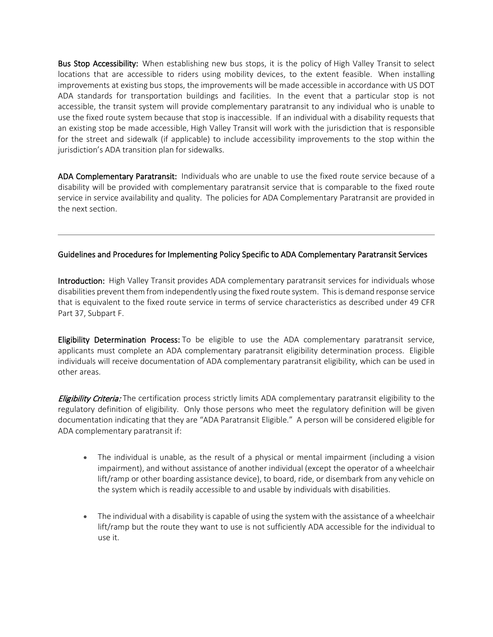Bus Stop Accessibility: When establishing new bus stops, it is the policy of High Valley Transit to select locations that are accessible to riders using mobility devices, to the extent feasible. When installing improvements at existing bus stops, the improvements will be made accessible in accordance with US DOT ADA standards for transportation buildings and facilities. In the event that a particular stop is not accessible, the transit system will provide complementary paratransit to any individual who is unable to use the fixed route system because that stop is inaccessible. If an individual with a disability requests that an existing stop be made accessible, High Valley Transit will work with the jurisdiction that is responsible for the street and sidewalk (if applicable) to include accessibility improvements to the stop within the jurisdiction's ADA transition plan for sidewalks.

ADA Complementary Paratransit: Individuals who are unable to use the fixed route service because of a disability will be provided with complementary paratransit service that is comparable to the fixed route service in service availability and quality. The policies for ADA Complementary Paratransit are provided in the next section.

# Guidelines and Procedures for Implementing Policy Specific to ADA Complementary Paratransit Services

Introduction: High Valley Transit provides ADA complementary paratransit services for individuals whose disabilities prevent them from independently using the fixed route system. Thisis demand response service that is equivalent to the fixed route service in terms of service characteristics as described under 49 CFR Part 37, Subpart F.

Eligibility Determination Process: To be eligible to use the ADA complementary paratransit service, applicants must complete an ADA complementary paratransit eligibility determination process. Eligible individuals will receive documentation of ADA complementary paratransit eligibility, which can be used in other areas.

**Eligibility Criteria:** The certification process strictly limits ADA complementary paratransit eligibility to the regulatory definition of eligibility. Only those persons who meet the regulatory definition will be given documentation indicating that they are "ADA Paratransit Eligible." A person will be considered eligible for ADA complementary paratransit if:

- The individual is unable, as the result of a physical or mental impairment (including a vision impairment), and without assistance of another individual (except the operator of a wheelchair lift/ramp or other boarding assistance device), to board, ride, or disembark from any vehicle on the system which is readily accessible to and usable by individuals with disabilities.
- The individual with a disability is capable of using the system with the assistance of a wheelchair lift/ramp but the route they want to use is not sufficiently ADA accessible for the individual to use it.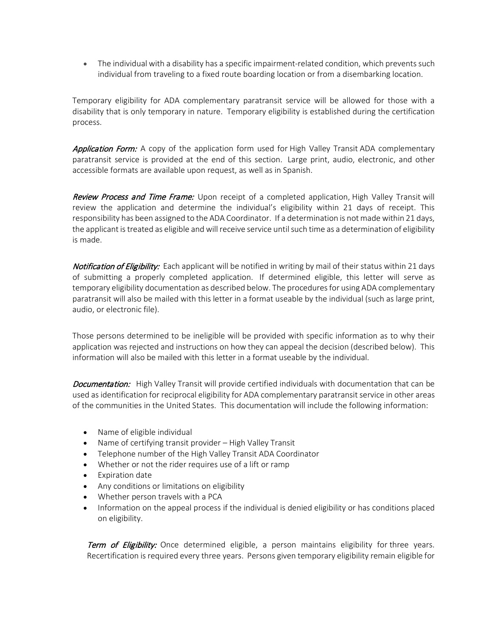• The individual with a disability has a specific impairment-related condition, which prevents such individual from traveling to a fixed route boarding location or from a disembarking location.

Temporary eligibility for ADA complementary paratransit service will be allowed for those with a disability that is only temporary in nature. Temporary eligibility is established during the certification process.

**Application Form:** A copy of the application form used for High Valley Transit ADA complementary paratransit service is provided at the end of this section. Large print, audio, electronic, and other accessible formats are available upon request, as well as in Spanish.

Review Process and Time Frame: Upon receipt of a completed application, High Valley Transit will review the application and determine the individual's eligibility within 21 days of receipt. This responsibility has been assigned to the ADA Coordinator. If a determination is not made within 21 days, the applicant is treated as eligible and will receive service until such time as a determination of eligibility is made.

Notification of Eligibility: Each applicant will be notified in writing by mail of their status within 21 days of submitting a properly completed application. If determined eligible, this letter will serve as temporary eligibility documentation as described below. The proceduresfor using ADA complementary paratransit will also be mailed with this letter in a format useable by the individual (such as large print, audio, or electronic file).

Those persons determined to be ineligible will be provided with specific information as to why their application was rejected and instructions on how they can appeal the decision (described below). This information will also be mailed with this letter in a format useable by the individual.

Documentation: High Valley Transit will provide certified individuals with documentation that can be used as identification for reciprocal eligibility for ADA complementary paratransit service in other areas of the communities in the United States. This documentation will include the following information:

- Name of eligible individual
- Name of certifying transit provider High Valley Transit
- Telephone number of the High Valley Transit ADA Coordinator
- Whether or not the rider requires use of a lift or ramp
- Expiration date
- Any conditions or limitations on eligibility
- Whether person travels with a PCA
- Information on the appeal process if the individual is denied eligibility or has conditions placed on eligibility.

**Term of Eligibility:** Once determined eligible, a person maintains eligibility for three years. Recertification is required every three years. Persons given temporary eligibility remain eligible for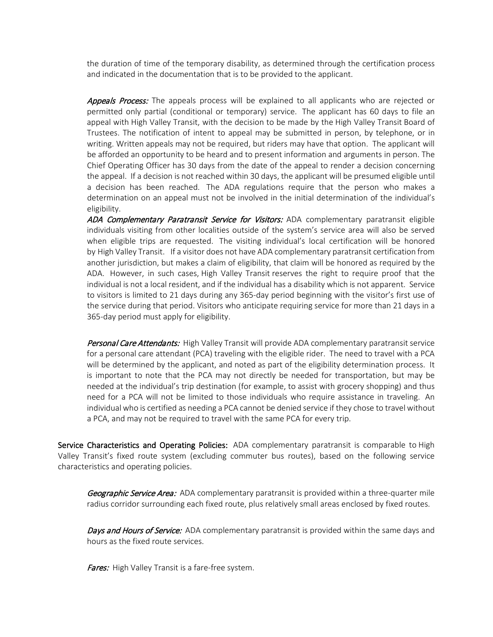the duration of time of the temporary disability, as determined through the certification process and indicated in the documentation that is to be provided to the applicant.

**Appeals Process:** The appeals process will be explained to all applicants who are rejected or permitted only partial (conditional or temporary) service. The applicant has 60 days to file an appeal with High Valley Transit, with the decision to be made by the High Valley Transit Board of Trustees. The notification of intent to appeal may be submitted in person, by telephone, or in writing. Written appeals may not be required, but riders may have that option. The applicant will be afforded an opportunity to be heard and to present information and arguments in person. The Chief Operating Officer has 30 days from the date of the appeal to render a decision concerning the appeal. If a decision is not reached within 30 days, the applicant will be presumed eligible until a decision has been reached. The ADA regulations require that the person who makes a determination on an appeal must not be involved in the initial determination of the individual's eligibility.

ADA Complementary Paratransit Service for Visitors: ADA complementary paratransit eligible individuals visiting from other localities outside of the system's service area will also be served when eligible trips are requested. The visiting individual's local certification will be honored by High Valley Transit. If a visitor does not have ADA complementary paratransit certification from another jurisdiction, but makes a claim of eligibility, that claim will be honored as required by the ADA. However, in such cases, High Valley Transit reserves the right to require proof that the individual is not a local resident, and if the individual has a disability which is not apparent. Service to visitors is limited to 21 days during any 365-day period beginning with the visitor's first use of the service during that period. Visitors who anticipate requiring service for more than 21 days in a 365-day period must apply for eligibility.

Personal Care Attendants: High Valley Transit will provide ADA complementary paratransit service for a personal care attendant (PCA) traveling with the eligible rider. The need to travel with a PCA will be determined by the applicant, and noted as part of the eligibility determination process. It is important to note that the PCA may not directly be needed for transportation, but may be needed at the individual's trip destination (for example, to assist with grocery shopping) and thus need for a PCA will not be limited to those individuals who require assistance in traveling. An individual who is certified as needing a PCA cannot be denied service if they chose to travel without a PCA, and may not be required to travel with the same PCA for every trip.

Service Characteristics and Operating Policies: ADA complementary paratransit is comparable to High Valley Transit's fixed route system (excluding commuter bus routes), based on the following service characteristics and operating policies.

Geographic Service Area: ADA complementary paratransit is provided within a three-quarter mile radius corridor surrounding each fixed route, plus relatively small areas enclosed by fixed routes.

Days and Hours of Service: ADA complementary paratransit is provided within the same days and hours as the fixed route services.

Fares: High Valley Transit is a fare-free system.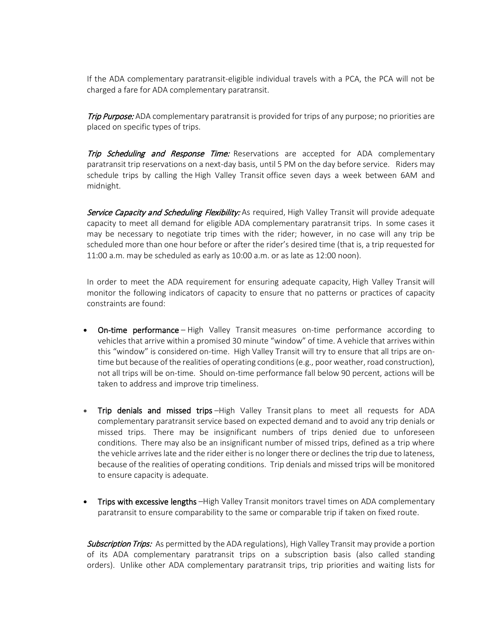If the ADA complementary paratransit-eligible individual travels with a PCA, the PCA will not be charged a fare for ADA complementary paratransit.

**Trip Purpose:** ADA complementary paratransit is provided for trips of any purpose; no priorities are placed on specific types of trips.

**Trip Scheduling and Response Time:** Reservations are accepted for ADA complementary paratransit trip reservations on a next-day basis, until 5 PM on the day before service. Riders may schedule trips by calling the High Valley Transit office seven days a week between 6AM and midnight.

Service Capacity and Scheduling Flexibility: As required, High Valley Transit will provide adequate capacity to meet all demand for eligible ADA complementary paratransit trips. In some cases it may be necessary to negotiate trip times with the rider; however, in no case will any trip be scheduled more than one hour before or after the rider's desired time (that is, a trip requested for 11:00 a.m. may be scheduled as early as 10:00 a.m. or as late as 12:00 noon).

In order to meet the ADA requirement for ensuring adequate capacity, High Valley Transit will monitor the following indicators of capacity to ensure that no patterns or practices of capacity constraints are found:

- On-time performance High Valley Transit measures on-time performance according to vehicles that arrive within a promised 30 minute "window" of time. A vehicle that arrives within this "window" is considered on-time. High Valley Transit will try to ensure that all trips are ontime but because of the realities of operating conditions (e.g., poor weather, road construction), not all trips will be on-time. Should on-time performance fall below 90 percent, actions will be taken to address and improve trip timeliness.
- Trip denials and missed trips –High Valley Transit plans to meet all requests for ADA complementary paratransit service based on expected demand and to avoid any trip denials or missed trips. There may be insignificant numbers of trips denied due to unforeseen conditions. There may also be an insignificant number of missed trips, defined as a trip where the vehicle arriveslate and the rider either is no longer there or declinesthe trip due to lateness, because of the realities of operating conditions. Trip denials and missed trips will be monitored to ensure capacity is adequate.
- Trips with excessive lengths -High Valley Transit monitors travel times on ADA complementary paratransit to ensure comparability to the same or comparable trip if taken on fixed route.

Subscription Trips: As permitted by the ADA regulations), High Valley Transit may provide a portion of its ADA complementary paratransit trips on a subscription basis (also called standing orders). Unlike other ADA complementary paratransit trips, trip priorities and waiting lists for